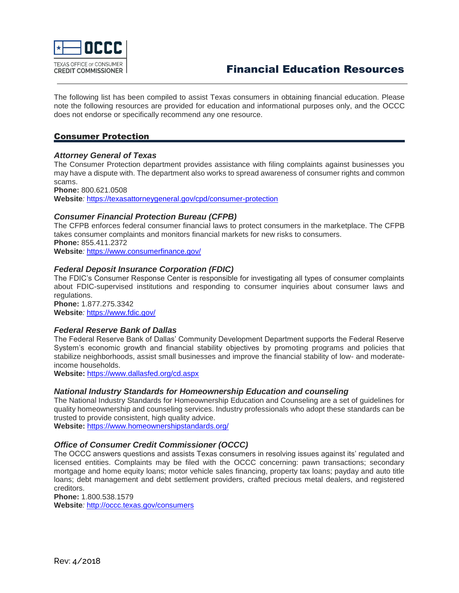

The following list has been compiled to assist Texas consumers in obtaining financial education. Please note the following resources are provided for education and informational purposes only, and the OCCC does not endorse or specifically recommend any one resource.

# Consumer Protection

## *Attorney General of Texas*

The Consumer Protection department provides assistance with filing complaints against businesses you may have a dispute with. The department also works to spread awareness of consumer rights and common scams.

**Phone:** 800.621.0508

**Website***:* <https://texasattorneygeneral.gov/cpd/consumer-protection>

## *Consumer Financial Protection Bureau (CFPB)*

The CFPB enforces federal consumer financial laws to protect consumers in the marketplace. The CFPB takes consumer complaints and monitors financial markets for new risks to consumers. **Phone:** 855.411.2372 **Website***:* <https://www.consumerfinance.gov/>

## *Federal Deposit Insurance Corporation (FDIC)*

The FDIC's Consumer Response Center is responsible for investigating all types of consumer complaints about FDIC-supervised institutions and responding to consumer inquiries about consumer laws and regulations. **Phone:** 1.877.275.3342

**Website***:* <https://www.fdic.gov/>

## *Federal Reserve Bank of Dallas*

The Federal Reserve Bank of Dallas' Community Development Department supports the Federal Reserve System's economic growth and financial stability objectives by promoting programs and policies that stabilize neighborhoods, assist small businesses and improve the financial stability of low- and moderateincome households.

**Website:** <https://www.dallasfed.org/cd.aspx>

## *National Industry Standards for Homeownership Education and counseling*

The National Industry Standards for Homeownership Education and Counseling are a set of guidelines for quality homeownership and counseling services. Industry professionals who adopt these standards can be trusted to provide consistent, high quality advice.

**Website:** <https://www.homeownershipstandards.org/>

## *Office of Consumer Credit Commissioner (OCCC)*

The OCCC answers questions and assists Texas consumers in resolving issues against its' regulated and licensed entities. Complaints may be filed with the OCCC concerning: pawn transactions; secondary mortgage and home equity loans; motor vehicle sales financing, property tax loans; payday and auto title loans; debt management and debt settlement providers, crafted precious metal dealers, and registered creditors.

**Phone:** 1.800.538.1579 **Website***:* <http://occc.texas.gov/consumers>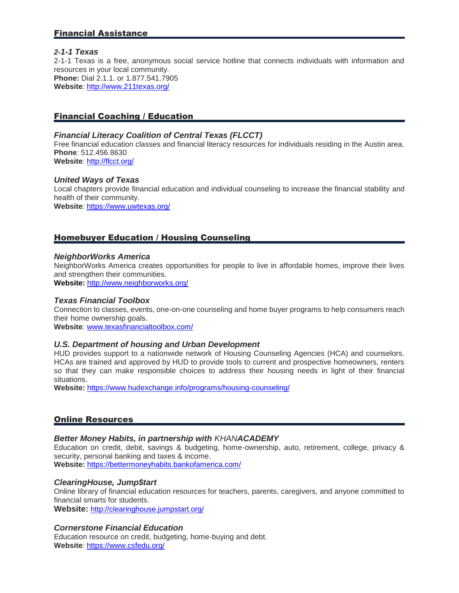# Financial Assistance

### *2-1-1 Texas*

2-1-1 Texas is a free, anonymous social service hotline that connects individuals with information and resources in your local community. **Phone:** Dial 2.1.1. or 1.877.541.7905 **Website***:* <http://www.211texas.org/>

# Financial Coaching / Education

## *Financial Literacy Coalition of Central Texas (FLCCT)*

Free financial education classes and financial literacy resources for individuals residing in the Austin area. **Phone***:* 512.456.8630 **Website***:* <http://flcct.org/>

## *United Ways of Texas*

Local chapters provide financial education and individual counseling to increase the financial stability and health of their community. **Website***:* <https://www.uwtexas.org/>

## Homebuyer Education / Housing Counseling

## *NeighborWorks America*

NeighborWorks America creates opportunities for people to live in affordable homes, improve their lives and strengthen their communities.

**Website:** <http://www.neighborworks.org/>

## *Texas Financial Toolbox*

Connection to classes, events, one-on-one counseling and home buyer programs to help consumers reach their home ownership goals.

**Website***:* [www.texasfinancialtoolbox.com/](http://www.texasfinancialtoolbox.com/)

## *U.S. Department of housing and Urban Development*

HUD provides support to a nationwide network of Housing Counseling Agencies (HCA) and counselors. HCAs are trained and approved by HUD to provide tools to current and prospective homeowners, renters so that they can make responsible choices to address their housing needs in light of their financial situations.

**Website:** <https://www.hudexchange.info/programs/housing-counseling/>

## Online Resources

## *Better Money Habits, in partnership with KHANACADEMY*

Education on credit, debit, savings & budgeting, home-ownership, auto, retirement, college, privacy & security, personal banking and taxes & income.

**Website:** <https://bettermoneyhabits.bankofamerica.com/>

## *ClearingHouse, Jump\$tart*

Online library of financial education resources for teachers, parents, caregivers, and anyone committed to financial smarts for students.

**Website:** <http://clearinghouse.jumpstart.org/>

## *Cornerstone Financial Education*

Education resource on credit, budgeting, home-buying and debt. **Website***:* <https://www.csfedu.org/>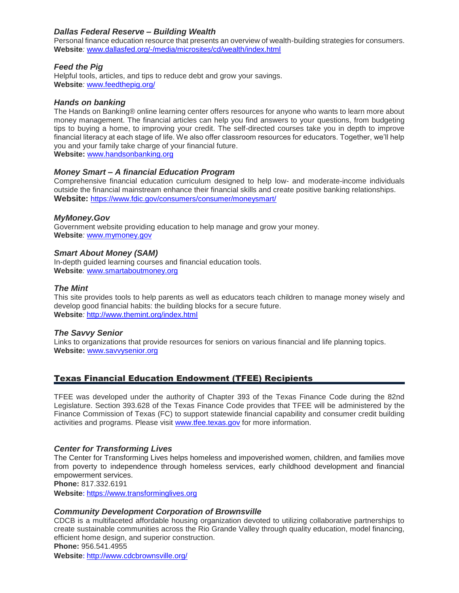## *Dallas Federal Reserve – Building Wealth*

Personal finance education resource that presents an overview of wealth-building strategies for consumers. **Website***:* [www.dallasfed.org/-/media/microsites/cd/wealth/index.html](http://www.dallasfed.org/-/media/microsites/cd/wealth/index.html)

### *Feed the Pig*

Helpful tools, articles, and tips to reduce debt and grow your savings. **Website***:* [www.feedthepig.org/](http://www.feedthepig.org/)

### *Hands on banking*

The Hands on Banking® online learning center offers resources for anyone who wants to learn more about money management. The financial articles can help you find answers to your questions, from budgeting tips to buying a home, to improving your credit. The self-directed courses take you in depth to improve financial literacy at each stage of life. We also offer classroom resources for educators. Together, we'll help you and your family take charge of your financial future.

**Website:** [www.handsonbanking.org](http://www.handsonbanking.org/)

### *Money Smart – A financial Education Program*

Comprehensive financial education curriculum designed to help low- and moderate-income individuals outside the financial mainstream enhance their financial skills and create positive banking relationships. **Website:** <https://www.fdic.gov/consumers/consumer/moneysmart/>

### *MyMoney.Gov*

Government website providing education to help manage and grow your money. **Website***:* [www.mymoney.gov](http://www.mymoney.gov/)

### *Smart About Money (SAM)*

In-depth guided learning courses and financial education tools. **Website***:* [www.smartaboutmoney.org](http://www.smartaboutmoney.org/)

### *The Mint*

This site provides tools to help parents as well as educators teach children to manage money wisely and develop good financial habits: the building blocks for a secure future. **Website***:* <http://www.themint.org/index.html>

#### *The Savvy Senior*

Links to organizations that provide resources for seniors on various financial and life planning topics. **Website:** [www.savvysenior.org](http://www.savvysenior.org/)

## Texas Financial Education Endowment (TFEE) Recipients

TFEE was developed under the authority of Chapter 393 of the Texas Finance Code during the 82nd Legislature. Section 393.628 of the Texas Finance Code provides that TFEE will be administered by the Finance Commission of Texas (FC) to support statewide financial capability and consumer credit building activities and programs. Please visit [www.tfee.texas.gov](http://www.tfee.texas.gov/) for more information.

## *Center for Transforming Lives*

The Center for Transforming Lives helps homeless and impoverished women, children, and families move from poverty to independence through homeless services, early childhood development and financial empowerment services.

**Phone:** 817.332.6191

**Website**: [https://www.transforminglives.org](https://www.transforminglives.org/)

## *Community Development Corporation of Brownsville*

CDCB is a multifaceted affordable housing organization devoted to utilizing collaborative partnerships to create sustainable communities across the Rio Grande Valley through quality education, model financing, efficient home design, and superior construction. **Phone:** 956.541.4955

**Website**: http://www.cdcbrownsville.org/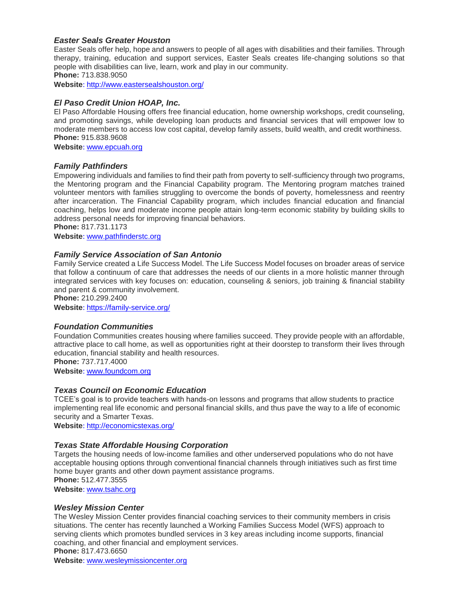### *Easter Seals Greater Houston*

Easter Seals offer help, hope and answers to people of all ages with disabilities and their families. Through therapy, training, education and support services, Easter Seals creates life-changing solutions so that people with disabilities can live, learn, work and play in our community. **Phone:** 713.838.9050

**Website**: <http://www.eastersealshouston.org/>

## *El Paso Credit Union HOAP, Inc.*

El Paso Affordable Housing offers free financial education, home ownership workshops, credit counseling, and promoting savings, while developing loan products and financial services that will empower low to moderate members to access low cost capital, develop family assets, build wealth, and credit worthiness. **Phone:** 915.838.9608

**Website**: [www.epcuah.org](http://www.epcuah.org/)

### *Family Pathfinders*

Empowering individuals and families to find their path from poverty to self-sufficiency through two programs, the Mentoring program and the Financial Capability program. The Mentoring program matches trained volunteer mentors with families struggling to overcome the bonds of poverty, homelessness and reentry after incarceration. The Financial Capability program, which includes financial education and financial coaching, helps low and moderate income people attain long-term economic stability by building skills to address personal needs for improving financial behaviors.

**Phone:** 817.731.1173 **Website**: [www.pathfinderstc.org](http://www.pathfinderstc.org/)

### *Family Service Association of San Antonio*

Family Service created a Life Success Model. The Life Success Model focuses on broader areas of service that follow a continuum of care that addresses the needs of our clients in a more holistic manner through integrated services with key focuses on: education, counseling & seniors, job training & financial stability and parent & community involvement.

**Phone:** 210.299.2400

**Website**: https://family-service.org/

#### *Foundation Communities*

Foundation Communities creates housing where families succeed. They provide people with an affordable, attractive place to call home, as well as opportunities right at their doorstep to transform their lives through education, financial stability and health resources.

**Phone:** 737.717.4000 **Website**: [www.foundcom.org](http://www.foundcom.org/)

### *Texas Council on Economic Education*

TCEE's goal is to provide teachers with hands-on lessons and programs that allow students to practice implementing real life economic and personal financial skills, and thus pave the way to a life of economic security and a Smarter Texas.

**Website**: http://economicstexas.org/

#### *Texas State Affordable Housing Corporation*

Targets the housing needs of low-income families and other underserved populations who do not have acceptable housing options through conventional financial channels through initiatives such as first time home buyer grants and other down payment assistance programs. **Phone:** 512.477.3555

**Website**: [www.tsahc.org](http://www.tsahc.org/)

#### *Wesley Mission Center*

The Wesley Mission Center provides financial coaching services to their community members in crisis situations. The center has recently launched a Working Families Success Model (WFS) approach to serving clients which promotes bundled services in 3 key areas including income supports, financial coaching, and other financial and employment services.

**Phone:** 817.473.6650

**Website**: [www.wesleymissioncenter.org](http://www.wesleymissioncenter.org/)